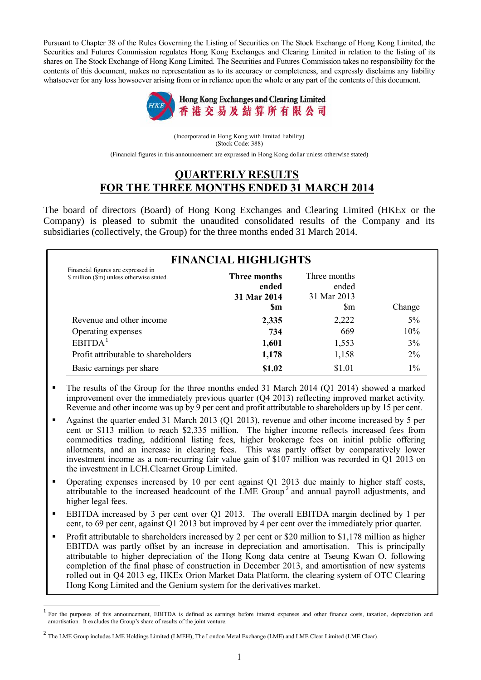Pursuant to Chapter 38 of the Rules Governing the Listing of Securities on The Stock Exchange of Hong Kong Limited, the Securities and Futures Commission regulates Hong Kong Exchanges and Clearing Limited in relation to the listing of its shares on The Stock Exchange of Hong Kong Limited. The Securities and Futures Commission takes no responsibility for the contents of this document, makes no representation as to its accuracy or completeness, and expressly disclaims any liability whatsoever for any loss howsoever arising from or in reliance upon the whole or any part of the contents of this document.



(Incorporated in Hong Kong with limited liability) (Stock Code: 388) (Financial figures in this announcement are expressed in Hong Kong dollar unless otherwise stated)

## **QUARTERLY RESULTS FOR THE THREE MONTHS ENDED 31 MARCH 2014**

The board of directors (Board) of Hong Kong Exchanges and Clearing Limited (HKEx or the Company) is pleased to submit the unaudited consolidated results of the Company and its subsidiaries (collectively, the Group) for the three months ended 31 March 2014.

| <b>FINANCIAL HIGHLIGHTS</b>                                                     |                                                          |                                                          |        |  |  |  |  |
|---------------------------------------------------------------------------------|----------------------------------------------------------|----------------------------------------------------------|--------|--|--|--|--|
| Financial figures are expressed in<br>\$ million (\$m) unless otherwise stated. | <b>Three months</b><br>ended<br>31 Mar 2014<br><b>Sm</b> | Three months<br>ended<br>31 Mar 2013<br>$\mathbb{S}_{m}$ | Change |  |  |  |  |
| Revenue and other income                                                        | 2,335                                                    | 2,222                                                    | 5%     |  |  |  |  |
| Operating expenses                                                              | 734                                                      | 669                                                      | 10%    |  |  |  |  |
| EBITDA <sup>1</sup>                                                             | 1,601                                                    | 1,553                                                    | 3%     |  |  |  |  |
| Profit attributable to shareholders                                             | 1,178                                                    | 1,158                                                    | $2\%$  |  |  |  |  |
| Basic earnings per share                                                        | \$1.02                                                   | \$1.01                                                   | $1\%$  |  |  |  |  |

- The results of the Group for the three months ended 31 March 2014 (Q1 2014) showed a marked improvement over the immediately previous quarter (Q4 2013) reflecting improved market activity. Revenue and other income was up by 9 per cent and profit attributable to shareholders up by 15 per cent.
- Against the quarter ended 31 March 2013 (Q1 2013), revenue and other income increased by 5 per cent or \$113 million to reach \$2,335 million. The higher income reflects increased fees from commodities trading, additional listing fees, higher brokerage fees on initial public offering allotments, and an increase in clearing fees. This was partly offset by comparatively lower investment income as a non-recurring fair value gain of \$107 million was recorded in Q1 2013 on the investment in LCH.Clearnet Group Limited.
- Operating expenses increased by 10 per cent against Q1 2013 due mainly to higher staff costs, attributable to the increased headcount of the LME Group<sup>2</sup> and annual payroll adjustments, and higher legal fees.
- EBITDA increased by 3 per cent over Q1 2013. The overall EBITDA margin declined by 1 per cent, to 69 per cent, against Q1 2013 but improved by 4 per cent over the immediately prior quarter.
- Profit attributable to shareholders increased by 2 per cent or \$20 million to \$1,178 million as higher EBITDA was partly offset by an increase in depreciation and amortisation. This is principally attributable to higher depreciation of the Hong Kong data centre at Tseung Kwan O, following completion of the final phase of construction in December 2013, and amortisation of new systems rolled out in Q4 2013 eg, HKEx Orion Market Data Platform, the clearing system of OTC Clearing Hong Kong Limited and the Genium system for the derivatives market.

 $\overline{1}$ 

<sup>1</sup> For the purposes of this announcement, EBITDA is defined as earnings before interest expenses and other finance costs, taxation, depreciation and amortisation. It excludes the Group's share of results of the joint venture.

 $^2$  The LME Group includes LME Holdings Limited (LMEH), The London Metal Exchange (LME) and LME Clear Limited (LME Clear).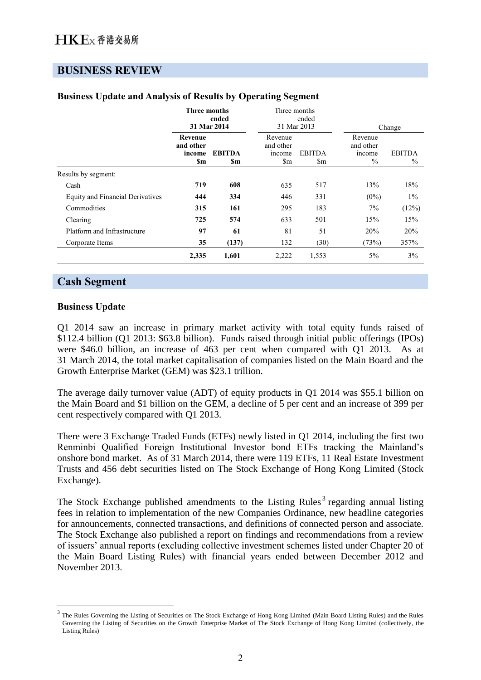## **BUSINESS REVIEW**

|                                         | Three months                          | ended<br>31 Mar 2014 | Three months                                                 | ended<br>31 Mar 2013 | Change                                 |                       |  |
|-----------------------------------------|---------------------------------------|----------------------|--------------------------------------------------------------|----------------------|----------------------------------------|-----------------------|--|
|                                         | Revenue<br>and other<br>income<br>\$m | <b>EBITDA</b><br>\$m | Revenue<br>and other<br>income<br>$\mathop{\rm Sm}\nolimits$ | <b>EBITDA</b><br>\$m | Revenue<br>and other<br>income<br>$\%$ | <b>EBITDA</b><br>$\%$ |  |
| Results by segment:                     |                                       |                      |                                                              |                      |                                        |                       |  |
| Cash                                    | 719                                   | 608                  | 635                                                          | 517                  | 13%                                    | 18%                   |  |
| <b>Equity and Financial Derivatives</b> | 444                                   | 334                  | 446                                                          | 331                  | $(0\%)$                                | $1\%$                 |  |
| Commodities                             | 315                                   | 161                  | 295                                                          | 183                  | 7%                                     | (12%)                 |  |
| Clearing                                | 725                                   | 574                  | 633                                                          | 501                  | 15%                                    | 15%                   |  |
| Platform and Infrastructure             | 97                                    | 61                   | 81                                                           | 51                   | 20%                                    | 20%                   |  |
| Corporate Items                         | 35                                    | (137)                | 132                                                          | (30)                 | (73%)                                  | 357%                  |  |
|                                         | 2,335                                 | 1,601                | 2,222                                                        | 1,553                | 5%                                     | 3%                    |  |

### **Business Update and Analysis of Results by Operating Segment**

## **Cash Segment**

#### **Business Update**

 $\overline{a}$ 

Q1 2014 saw an increase in primary market activity with total equity funds raised of \$112.4 billion (Q1 2013: \$63.8 billion). Funds raised through initial public offerings (IPOs) were \$46.0 billion, an increase of 463 per cent when compared with Q1 2013. As at 31 March 2014, the total market capitalisation of companies listed on the Main Board and the Growth Enterprise Market (GEM) was \$23.1 trillion.

The average daily turnover value (ADT) of equity products in Q1 2014 was \$55.1 billion on the Main Board and \$1 billion on the GEM, a decline of 5 per cent and an increase of 399 per cent respectively compared with Q1 2013.

There were 3 Exchange Traded Funds (ETFs) newly listed in Q1 2014, including the first two Renminbi Qualified Foreign Institutional Investor bond ETFs tracking the Mainland's onshore bond market. As of 31 March 2014, there were 119 ETFs, 11 Real Estate Investment Trusts and 456 debt securities listed on The Stock Exchange of Hong Kong Limited (Stock Exchange).

The Stock Exchange published amendments to the Listing Rules<sup>3</sup> regarding annual listing fees in relation to implementation of the new Companies Ordinance, new headline categories for announcements, connected transactions, and definitions of connected person and associate. The Stock Exchange also published a report on findings and recommendations from a review of issuers' annual reports (excluding collective investment schemes listed under Chapter 20 of the Main Board Listing Rules) with financial years ended between December 2012 and November 2013.

<sup>3</sup> The Rules Governing the Listing of Securities on The Stock Exchange of Hong Kong Limited (Main Board Listing Rules) and the Rules Governing the Listing of Securities on the Growth Enterprise Market of The Stock Exchange of Hong Kong Limited (collectively, the Listing Rules)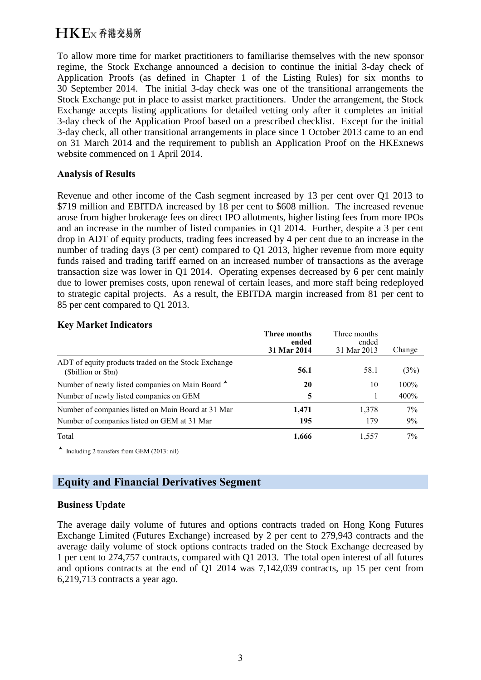# $H$ K $F$ <sub>x</sub> 香港交易所

To allow more time for market practitioners to familiarise themselves with the new sponsor regime, the Stock Exchange announced a decision to continue the initial 3-day check of Application Proofs (as defined in Chapter 1 of the Listing Rules) for six months to 30 September 2014. The initial 3-day check was one of the transitional arrangements the Stock Exchange put in place to assist market practitioners. Under the arrangement, the Stock Exchange accepts listing applications for detailed vetting only after it completes an initial 3-day check of the Application Proof based on a prescribed checklist. Except for the initial 3-day check, all other transitional arrangements in place since 1 October 2013 came to an end on 31 March 2014 and the requirement to publish an Application Proof on the HKExnews website commenced on 1 April 2014.

#### **Analysis of Results**

Revenue and other income of the Cash segment increased by 13 per cent over Q1 2013 to \$719 million and EBITDA increased by 18 per cent to \$608 million. The increased revenue arose from higher brokerage fees on direct IPO allotments, higher listing fees from more IPOs and an increase in the number of listed companies in Q1 2014. Further, despite a 3 per cent drop in ADT of equity products, trading fees increased by 4 per cent due to an increase in the number of trading days (3 per cent) compared to Q1 2013, higher revenue from more equity funds raised and trading tariff earned on an increased number of transactions as the average transaction size was lower in Q1 2014. Operating expenses decreased by 6 per cent mainly due to lower premises costs, upon renewal of certain leases, and more staff being redeployed to strategic capital projects. As a result, the EBITDA margin increased from 81 per cent to 85 per cent compared to Q1 2013.

#### **Key Market Indicators**

|                                                                          | Three months<br>ended<br>31 Mar 2014 | Three months<br>ended<br>31 Mar 2013 | Change |
|--------------------------------------------------------------------------|--------------------------------------|--------------------------------------|--------|
| ADT of equity products traded on the Stock Exchange<br>(Sbillion or Sbn) | 56.1                                 | 58.1                                 | (3%)   |
| Number of newly listed companies on Main Board                           | 20                                   | 10                                   | 100%   |
| Number of newly listed companies on GEM                                  | 5                                    |                                      | 400%   |
| Number of companies listed on Main Board at 31 Mar                       | 1,471                                | 1,378                                | 7%     |
| Number of companies listed on GEM at 31 Mar                              | 195                                  | 179                                  | 9%     |
| Total                                                                    | 1,666                                | 1.557                                | 7%     |

 $\sim$  Including 2 transfers from GEM (2013: nil)

# **Equity and Financial Derivatives Segment**

### **Business Update**

The average daily volume of futures and options contracts traded on Hong Kong Futures Exchange Limited (Futures Exchange) increased by 2 per cent to 279,943 contracts and the average daily volume of stock options contracts traded on the Stock Exchange decreased by 1 per cent to 274,757 contracts, compared with Q1 2013. The total open interest of all futures and options contracts at the end of Q1 2014 was 7,142,039 contracts, up 15 per cent from 6,219,713 contracts a year ago.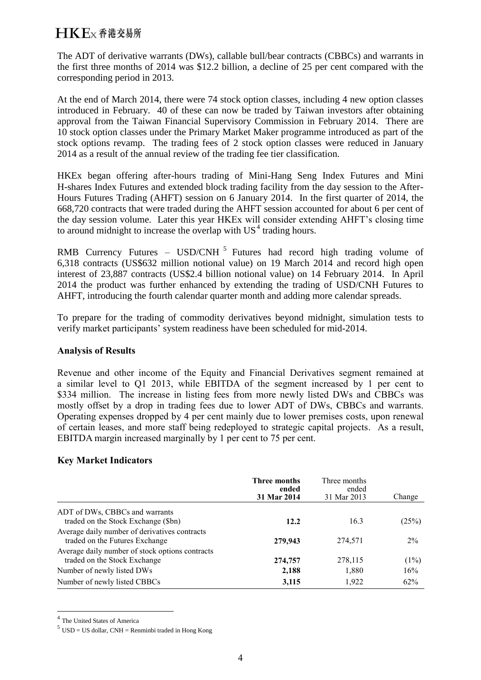The ADT of derivative warrants (DWs), callable bull/bear contracts (CBBCs) and warrants in the first three months of 2014 was \$12.2 billion, a decline of 25 per cent compared with the corresponding period in 2013.

At the end of March 2014, there were 74 stock option classes, including 4 new option classes introduced in February. 40 of these can now be traded by Taiwan investors after obtaining approval from the Taiwan Financial Supervisory Commission in February 2014. There are 10 stock option classes under the Primary Market Maker programme introduced as part of the stock options revamp. The trading fees of 2 stock option classes were reduced in January 2014 as a result of the annual review of the trading fee tier classification.

HKEx began offering after-hours trading of Mini-Hang Seng Index Futures and Mini H-shares Index Futures and extended block trading facility from the day session to the After-Hours Futures Trading (AHFT) session on 6 January 2014. In the first quarter of 2014, the 668,720 contracts that were traded during the AHFT session accounted for about 6 per cent of the day session volume. Later this year HKEx will consider extending AHFT's closing time to around midnight to increase the overlap with  $US<sup>4</sup>$  trading hours.

RMB Currency Futures – USD/CNH<sup>5</sup> Futures had record high trading volume of 6,318 contracts (US\$632 million notional value) on 19 March 2014 and record high open interest of 23,887 contracts (US\$2.4 billion notional value) on 14 February 2014. In April 2014 the product was further enhanced by extending the trading of USD/CNH Futures to AHFT, introducing the fourth calendar quarter month and adding more calendar spreads.

To prepare for the trading of commodity derivatives beyond midnight, simulation tests to verify market participants' system readiness have been scheduled for mid-2014.

#### **Analysis of Results**

Revenue and other income of the Equity and Financial Derivatives segment remained at a similar level to Q1 2013, while EBITDA of the segment increased by 1 per cent to \$334 million. The increase in listing fees from more newly listed DWs and CBBCs was mostly offset by a drop in trading fees due to lower ADT of DWs, CBBCs and warrants. Operating expenses dropped by 4 per cent mainly due to lower premises costs, upon renewal of certain leases, and more staff being redeployed to strategic capital projects. As a result, EBITDA margin increased marginally by 1 per cent to 75 per cent.

### **Key Market Indicators**

|                                                 | <b>Three months</b><br>ended<br>31 Mar 2014 | Three months<br>ended<br>31 Mar 2013 | Change  |
|-------------------------------------------------|---------------------------------------------|--------------------------------------|---------|
| ADT of DWs, CBBCs and warrants                  |                                             |                                      |         |
| traded on the Stock Exchange (\$bn)             | 12.2                                        | 16.3                                 | (25%)   |
| Average daily number of derivatives contracts   |                                             |                                      |         |
| traded on the Futures Exchange                  | 279,943                                     | 274.571                              | $2\%$   |
| Average daily number of stock options contracts |                                             |                                      |         |
| traded on the Stock Exchange                    | 274,757                                     | 278,115                              | $(1\%)$ |
| Number of newly listed DWs                      | 2,188                                       | 1,880                                | 16%     |
| Number of newly listed CBBCs                    | 3,115                                       | 1,922                                | 62%     |

<sup>&</sup>lt;sup>4</sup> The United States of America

 $\overline{a}$ 

 $<sup>5</sup>$  USD = US dollar, CNH = Renminbi traded in Hong Kong</sup>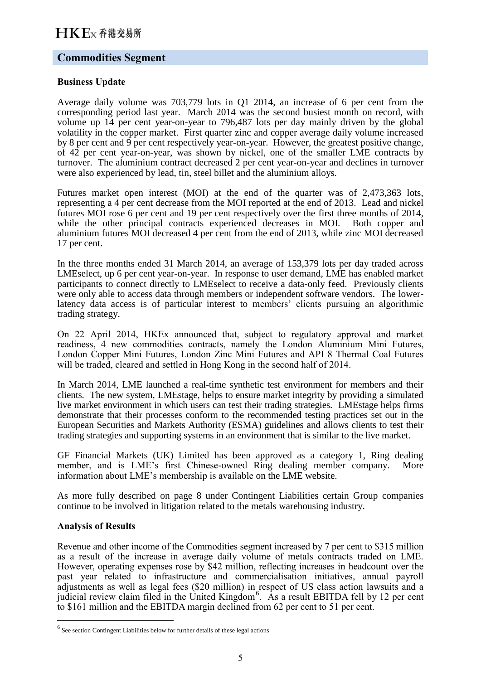### **Commodities Segment**

#### **Business Update**

Average daily volume was 703,779 lots in Q1 2014, an increase of 6 per cent from the corresponding period last year. March 2014 was the second busiest month on record, with volume up 14 per cent year-on-year to 796,487 lots per day mainly driven by the global volatility in the copper market. First quarter zinc and copper average daily volume increased by 8 per cent and 9 per cent respectively year-on-year. However, the greatest positive change, of 42 per cent year-on-year, was shown by nickel, one of the smaller LME contracts by turnover. The aluminium contract decreased 2 per cent year-on-year and declines in turnover were also experienced by lead, tin, steel billet and the aluminium alloys.

Futures market open interest (MOI) at the end of the quarter was of 2,473,363 lots, representing a 4 per cent decrease from the MOI reported at the end of 2013. Lead and nickel futures MOI rose 6 per cent and 19 per cent respectively over the first three months of 2014, while the other principal contracts experienced decreases in MOI. Both copper and aluminium futures MOI decreased 4 per cent from the end of 2013, while zinc MOI decreased 17 per cent.

In the three months ended 31 March 2014, an average of 153,379 lots per day traded across LMEselect, up 6 per cent year-on-year. In response to user demand, LME has enabled market participants to connect directly to LMEselect to receive a data-only feed. Previously clients were only able to access data through members or independent software vendors. The lowerlatency data access is of particular interest to members' clients pursuing an algorithmic trading strategy.

On 22 April 2014, HKEx announced that, subject to regulatory approval and market readiness, 4 new commodities contracts, namely the London Aluminium Mini Futures, London Copper Mini Futures, London Zinc Mini Futures and API 8 Thermal Coal Futures will be traded, cleared and settled in Hong Kong in the second half of 2014.

In March 2014, LME launched a real-time synthetic test environment for members and their clients. The new system, LMEstage, helps to ensure market integrity by providing a simulated live market environment in which users can test their trading strategies. LMEstage helps firms demonstrate that their processes conform to the recommended testing practices set out in the European Securities and Markets Authority (ESMA) guidelines and allows clients to test their trading strategies and supporting systems in an environment that is similar to the live market.

GF Financial Markets (UK) Limited has been approved as a category 1, Ring dealing member, and is LME's first Chinese-owned Ring dealing member company. More information about LME's membership is available on the LME website.

As more fully described on page 8 under Contingent Liabilities certain Group companies continue to be involved in litigation related to the metals warehousing industry.

#### **Analysis of Results**

 $\overline{a}$ 

Revenue and other income of the Commodities segment increased by 7 per cent to \$315 million as a result of the increase in average daily volume of metals contracts traded on LME. However, operating expenses rose by \$42 million, reflecting increases in headcount over the past year related to infrastructure and commercialisation initiatives, annual payroll adjustments as well as legal fees (\$20 million) in respect of US class action lawsuits and a judicial review claim filed in the United Kingdom<sup>6</sup>. As a result EBITDA fell by 12 per cent to \$161 million and the EBITDA margin declined from 62 per cent to 51 per cent.

 $<sup>6</sup>$  See section Contingent Liabilities below for further details of these legal actions</sup>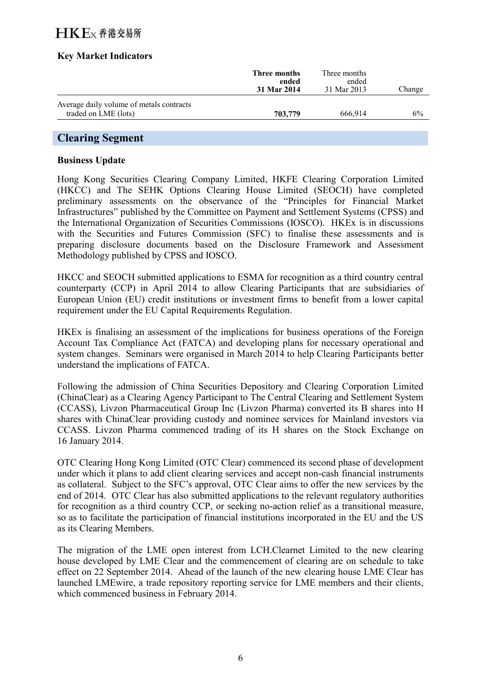# $H$ K $F$ <sub>x</sub> 香港交易所

### **Key Market Indicators**

|                                                                  | Three months<br>ended<br>31 Mar 2014 | Three months<br>ended<br>31 Mar 2013 | Change |
|------------------------------------------------------------------|--------------------------------------|--------------------------------------|--------|
| Average daily volume of metals contracts<br>traded on LME (lots) | 703,779                              | 666.914                              | 6%     |

## **Clearing Segment**

#### **Business Update**

Hong Kong Securities Clearing Company Limited, HKFE Clearing Corporation Limited (HKCC) and The SEHK Options Clearing House Limited (SEOCH) have completed preliminary assessments on the observance of the "Principles for Financial Market Infrastructures" published by the Committee on Payment and Settlement Systems (CPSS) and the International Organization of Securities Commissions (IOSCO). HKEx is in discussions with the Securities and Futures Commission (SFC) to finalise these assessments and is preparing disclosure documents based on the Disclosure Framework and Assessment Methodology published by CPSS and IOSCO.

HKCC and SEOCH submitted applications to ESMA for recognition as a third country central counterparty (CCP) in April 2014 to allow Clearing Participants that are subsidiaries of European Union (EU) credit institutions or investment firms to benefit from a lower capital requirement under the EU Capital Requirements Regulation.

HKEx is finalising an assessment of the implications for business operations of the Foreign Account Tax Compliance Act (FATCA) and developing plans for necessary operational and system changes. Seminars were organised in March 2014 to help Clearing Participants better understand the implications of FATCA.

Following the admission of China Securities Depository and Clearing Corporation Limited (ChinaClear) as a Clearing Agency Participant to The Central Clearing and Settlement System (CCASS), Livzon Pharmaceutical Group Inc (Livzon Pharma) converted its B shares into H shares with ChinaClear providing custody and nominee services for Mainland investors via CCASS. Livzon Pharma commenced trading of its H shares on the Stock Exchange on 16 January 2014.

OTC Clearing Hong Kong Limited (OTC Clear) commenced its second phase of development under which it plans to add client clearing services and accept non-cash financial instruments as collateral. Subject to the SFC's approval, OTC Clear aims to offer the new services by the end of 2014. OTC Clear has also submitted applications to the relevant regulatory authorities for recognition as a third country CCP, or seeking no-action relief as a transitional measure, so as to facilitate the participation of financial institutions incorporated in the EU and the US as its Clearing Members.

The migration of the LME open interest from LCH.Clearnet Limited to the new clearing house developed by LME Clear and the commencement of clearing are on schedule to take effect on 22 September 2014. Ahead of the launch of the new clearing house LME Clear has launched LMEwire, a trade repository reporting service for LME members and their clients, which commenced business in February 2014.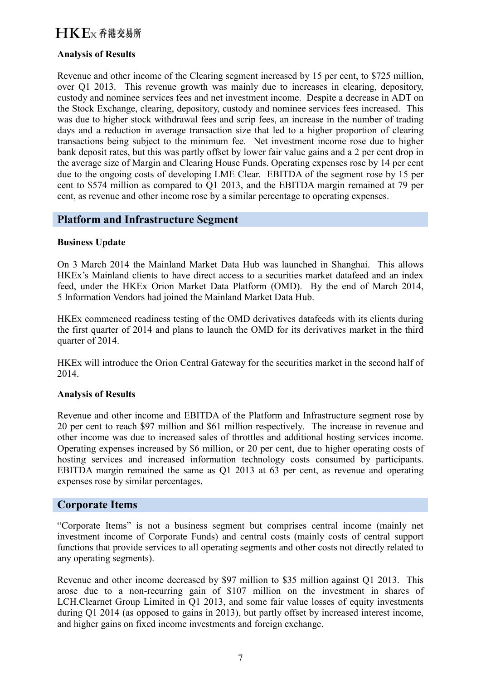# $H$ K $F$ <sub>x</sub> 香港交易所

### **Analysis of Results**

Revenue and other income of the Clearing segment increased by 15 per cent, to \$725 million, over Q1 2013. This revenue growth was mainly due to increases in clearing, depository, custody and nominee services fees and net investment income. Despite a decrease in ADT on the Stock Exchange, clearing, depository, custody and nominee services fees increased. This was due to higher stock withdrawal fees and scrip fees, an increase in the number of trading days and a reduction in average transaction size that led to a higher proportion of clearing transactions being subject to the minimum fee. Net investment income rose due to higher bank deposit rates, but this was partly offset by lower fair value gains and a 2 per cent drop in the average size of Margin and Clearing House Funds. Operating expenses rose by 14 per cent due to the ongoing costs of developing LME Clear. EBITDA of the segment rose by 15 per cent to \$574 million as compared to Q1 2013, and the EBITDA margin remained at 79 per cent, as revenue and other income rose by a similar percentage to operating expenses.

### **Platform and Infrastructure Segment**

#### **Business Update**

On 3 March 2014 the Mainland Market Data Hub was launched in Shanghai. This allows HKEx's Mainland clients to have direct access to a securities market datafeed and an index feed, under the HKEx Orion Market Data Platform (OMD). By the end of March 2014, 5 Information Vendors had joined the Mainland Market Data Hub.

HKEx commenced readiness testing of the OMD derivatives datafeeds with its clients during the first quarter of 2014 and plans to launch the OMD for its derivatives market in the third quarter of 2014.

HKEx will introduce the Orion Central Gateway for the securities market in the second half of 2014.

#### **Analysis of Results**

Revenue and other income and EBITDA of the Platform and Infrastructure segment rose by 20 per cent to reach \$97 million and \$61 million respectively. The increase in revenue and other income was due to increased sales of throttles and additional hosting services income. Operating expenses increased by \$6 million, or 20 per cent, due to higher operating costs of hosting services and increased information technology costs consumed by participants. EBITDA margin remained the same as Q1 2013 at 63 per cent, as revenue and operating expenses rose by similar percentages.

### **Corporate Items**

"Corporate Items" is not a business segment but comprises central income (mainly net investment income of Corporate Funds) and central costs (mainly costs of central support functions that provide services to all operating segments and other costs not directly related to any operating segments).

Revenue and other income decreased by \$97 million to \$35 million against Q1 2013. This arose due to a non-recurring gain of \$107 million on the investment in shares of LCH.Clearnet Group Limited in Q1 2013, and some fair value losses of equity investments during Q1 2014 (as opposed to gains in 2013), but partly offset by increased interest income, and higher gains on fixed income investments and foreign exchange.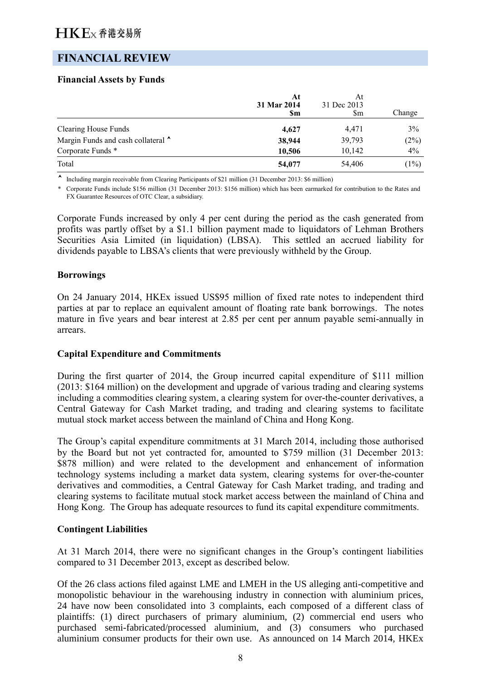## **FINANCIAL REVIEW**

## **Financial Assets by Funds**

|                                    | At<br>31 Mar 2014<br><b>Sm</b> | At<br>31 Dec 2013<br>Sm | Change |
|------------------------------------|--------------------------------|-------------------------|--------|
| <b>Clearing House Funds</b>        | 4,627                          | 4,471                   | 3%     |
| Margin Funds and cash collateral ^ | 38,944                         | 39,793                  | (2%)   |
| Corporate Funds *                  | 10,506                         | 10,142                  | 4%     |
| Total                              | 54,077                         | 54,406                  | (1%)   |

Including margin receivable from Clearing Participants of \$21 million (31 December 2013: \$6 million)

\* Corporate Funds include \$156 million (31 December 2013: \$156 million) which has been earmarked for contribution to the Rates and FX Guarantee Resources of OTC Clear, a subsidiary.

Corporate Funds increased by only 4 per cent during the period as the cash generated from profits was partly offset by a \$1.1 billion payment made to liquidators of Lehman Brothers Securities Asia Limited (in liquidation) (LBSA). This settled an accrued liability for dividends payable to LBSA's clients that were previously withheld by the Group.

### **Borrowings**

On 24 January 2014, HKEx issued US\$95 million of fixed rate notes to independent third parties at par to replace an equivalent amount of floating rate bank borrowings. The notes mature in five years and bear interest at 2.85 per cent per annum payable semi-annually in arrears.

### **Capital Expenditure and Commitments**

During the first quarter of 2014, the Group incurred capital expenditure of \$111 million (2013: \$164 million) on the development and upgrade of various trading and clearing systems including a commodities clearing system, a clearing system for over-the-counter derivatives, a Central Gateway for Cash Market trading, and trading and clearing systems to facilitate mutual stock market access between the mainland of China and Hong Kong.

The Group's capital expenditure commitments at 31 March 2014, including those authorised by the Board but not yet contracted for, amounted to \$759 million (31 December 2013: \$878 million) and were related to the development and enhancement of information technology systems including a market data system, clearing systems for over-the-counter derivatives and commodities, a Central Gateway for Cash Market trading, and trading and clearing systems to facilitate mutual stock market access between the mainland of China and Hong Kong. The Group has adequate resources to fund its capital expenditure commitments.

### **Contingent Liabilities**

At 31 March 2014, there were no significant changes in the Group's contingent liabilities compared to 31 December 2013, except as described below.

Of the 26 class actions filed against LME and LMEH in the US alleging anti-competitive and monopolistic behaviour in the warehousing industry in connection with aluminium prices, 24 have now been consolidated into 3 complaints, each composed of a different class of plaintiffs: (1) direct purchasers of primary aluminium, (2) commercial end users who purchased semi-fabricated/processed aluminium, and (3) consumers who purchased aluminium consumer products for their own use. As announced on 14 March 2014, HKEx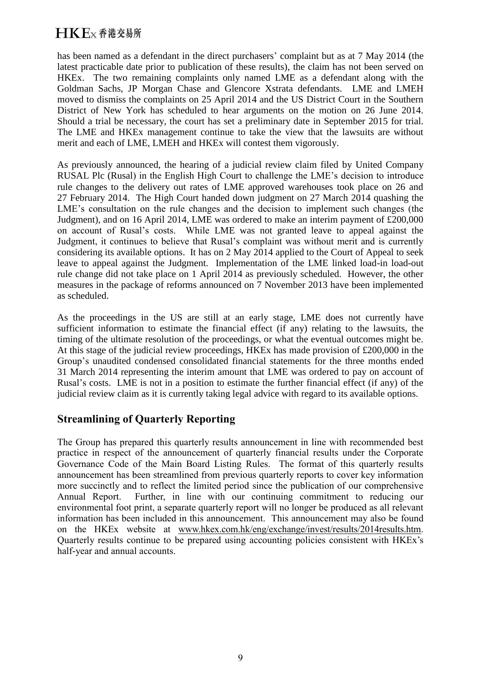has been named as a defendant in the direct purchasers' complaint but as at 7 May 2014 (the latest practicable date prior to publication of these results), the claim has not been served on HKEx. The two remaining complaints only named LME as a defendant along with the Goldman Sachs, JP Morgan Chase and Glencore Xstrata defendants. LME and LMEH moved to dismiss the complaints on 25 April 2014 and the US District Court in the Southern District of New York has scheduled to hear arguments on the motion on 26 June 2014. Should a trial be necessary, the court has set a preliminary date in September 2015 for trial. The LME and HKEx management continue to take the view that the lawsuits are without merit and each of LME, LMEH and HKEx will contest them vigorously.

As previously announced, the hearing of a judicial review claim filed by United Company RUSAL Plc (Rusal) in the English High Court to challenge the LME's decision to introduce rule changes to the delivery out rates of LME approved warehouses took place on 26 and 27 February 2014. The High Court handed down judgment on 27 March 2014 quashing the LME's consultation on the rule changes and the decision to implement such changes (the Judgment), and on 16 April 2014, LME was ordered to make an interim payment of £200,000 on account of Rusal's costs. While LME was not granted leave to appeal against the Judgment, it continues to believe that Rusal's complaint was without merit and is currently considering its available options. It has on 2 May 2014 applied to the Court of Appeal to seek leave to appeal against the Judgment. Implementation of the LME linked load-in load-out rule change did not take place on 1 April 2014 as previously scheduled. However, the other measures in the package of reforms announced on 7 November 2013 have been implemented as scheduled.

As the proceedings in the US are still at an early stage, LME does not currently have sufficient information to estimate the financial effect (if any) relating to the lawsuits, the timing of the ultimate resolution of the proceedings, or what the eventual outcomes might be. At this stage of the judicial review proceedings, HKEx has made provision of £200,000 in the Group's unaudited condensed consolidated financial statements for the three months ended 31 March 2014 representing the interim amount that LME was ordered to pay on account of Rusal's costs. LME is not in a position to estimate the further financial effect (if any) of the judicial review claim as it is currently taking legal advice with regard to its available options.

## **Streamlining of Quarterly Reporting**

The Group has prepared this quarterly results announcement in line with recommended best practice in respect of the announcement of quarterly financial results under the Corporate Governance Code of the Main Board Listing Rules. The format of this quarterly results announcement has been streamlined from previous quarterly reports to cover key information more succinctly and to reflect the limited period since the publication of our comprehensive Annual Report. Further, in line with our continuing commitment to reducing our environmental foot print, a separate quarterly report will no longer be produced as all relevant information has been included in this announcement. This announcement may also be found on the HKEx website at [www.hkex.com.hk/eng/exchange/invest/results/2014results.htm.](http://www.hkex.com.hk/eng/exchange/invest/results/2014results.htm) Quarterly results continue to be prepared using accounting policies consistent with HKEx's half-year and annual accounts.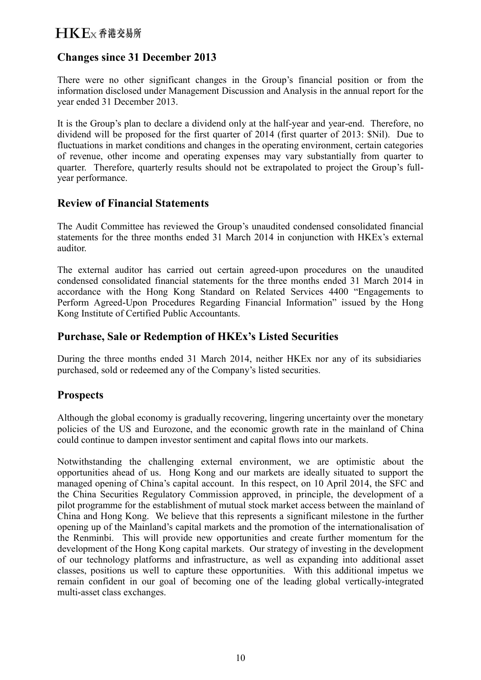## **Changes since 31 December 2013**

There were no other significant changes in the Group's financial position or from the information disclosed under Management Discussion and Analysis in the annual report for the year ended 31 December 2013.

It is the Group's plan to declare a dividend only at the half-year and year-end. Therefore, no dividend will be proposed for the first quarter of 2014 (first quarter of 2013: \$Nil). Due to fluctuations in market conditions and changes in the operating environment, certain categories of revenue, other income and operating expenses may vary substantially from quarter to quarter. Therefore, quarterly results should not be extrapolated to project the Group's fullyear performance.

## **Review of Financial Statements**

The Audit Committee has reviewed the Group's unaudited condensed consolidated financial statements for the three months ended 31 March 2014 in conjunction with HKEx's external auditor.

The external auditor has carried out certain agreed-upon procedures on the unaudited condensed consolidated financial statements for the three months ended 31 March 2014 in accordance with the Hong Kong Standard on Related Services 4400 "Engagements to Perform Agreed-Upon Procedures Regarding Financial Information" issued by the Hong Kong Institute of Certified Public Accountants.

## **Purchase, Sale or Redemption of HKEx's Listed Securities**

During the three months ended 31 March 2014, neither HKEx nor any of its subsidiaries purchased, sold or redeemed any of the Company's listed securities.

## **Prospects**

Although the global economy is gradually recovering, lingering uncertainty over the monetary policies of the US and Eurozone, and the economic growth rate in the mainland of China could continue to dampen investor sentiment and capital flows into our markets.

Notwithstanding the challenging external environment, we are optimistic about the opportunities ahead of us. Hong Kong and our markets are ideally situated to support the managed opening of China's capital account. In this respect, on 10 April 2014, the SFC and the China Securities Regulatory Commission approved, in principle, the development of a pilot programme for the establishment of mutual stock market access between the mainland of China and Hong Kong. We believe that this represents a significant milestone in the further opening up of the Mainland's capital markets and the promotion of the internationalisation of the Renminbi. This will provide new opportunities and create further momentum for the development of the Hong Kong capital markets. Our strategy of investing in the development of our technology platforms and infrastructure, as well as expanding into additional asset classes, positions us well to capture these opportunities. With this additional impetus we remain confident in our goal of becoming one of the leading global vertically-integrated multi-asset class exchanges.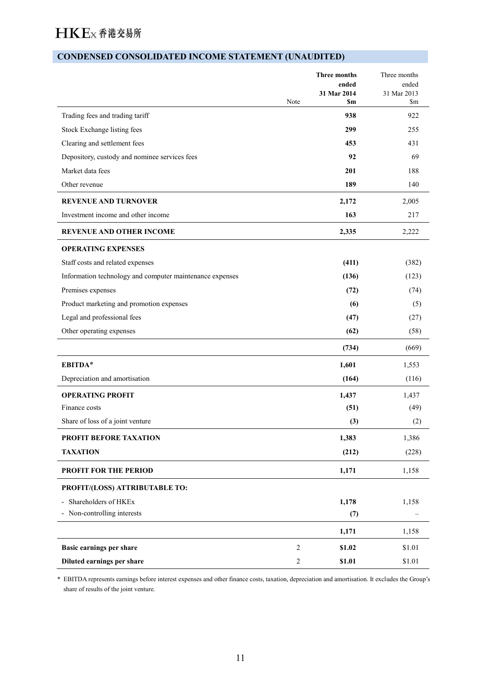## **CONDENSED CONSOLIDATED INCOME STATEMENT (UNAUDITED)**

|                                                          | Note             | <b>Three months</b><br>ended<br>31 Mar 2014<br><b>Sm</b> | Three months<br>ended<br>31 Mar 2013<br>\$m |
|----------------------------------------------------------|------------------|----------------------------------------------------------|---------------------------------------------|
| Trading fees and trading tariff                          |                  | 938                                                      | 922                                         |
| Stock Exchange listing fees                              |                  | 299                                                      | 255                                         |
| Clearing and settlement fees                             |                  | 453                                                      | 431                                         |
| Depository, custody and nominee services fees            |                  | 92                                                       | 69                                          |
| Market data fees                                         |                  | 201                                                      | 188                                         |
| Other revenue                                            |                  | 189                                                      | 140                                         |
| <b>REVENUE AND TURNOVER</b>                              |                  | 2,172                                                    | 2,005                                       |
| Investment income and other income                       |                  | 163                                                      | 217                                         |
| <b>REVENUE AND OTHER INCOME</b>                          |                  | 2,335                                                    | 2,222                                       |
| <b>OPERATING EXPENSES</b>                                |                  |                                                          |                                             |
| Staff costs and related expenses                         |                  | (411)                                                    | (382)                                       |
| Information technology and computer maintenance expenses |                  | (136)                                                    | (123)                                       |
| Premises expenses                                        |                  | (72)                                                     | (74)                                        |
| Product marketing and promotion expenses                 |                  | (6)                                                      | (5)                                         |
| Legal and professional fees                              |                  | (47)                                                     | (27)                                        |
| Other operating expenses                                 |                  | (62)                                                     | (58)                                        |
|                                                          |                  | (734)                                                    | (669)                                       |
| EBITDA*                                                  |                  | 1,601                                                    | 1,553                                       |
| Depreciation and amortisation                            |                  | (164)                                                    | (116)                                       |
| <b>OPERATING PROFIT</b>                                  |                  | 1,437                                                    | 1,437                                       |
| Finance costs                                            |                  | (51)                                                     | (49)                                        |
| Share of loss of a joint venture                         |                  | (3)                                                      | (2)                                         |
| PROFIT BEFORE TAXATION                                   |                  | 1,383                                                    | 1,386                                       |
| <b>TAXATION</b>                                          |                  | (212)                                                    | (228)                                       |
| <b>PROFIT FOR THE PERIOD</b>                             |                  | 1,171                                                    | 1,158                                       |
| PROFIT/(LOSS) ATTRIBUTABLE TO:                           |                  |                                                          |                                             |
| Shareholders of HKEx<br>$\overline{\phantom{0}}$         |                  | 1,178                                                    | 1,158                                       |
| - Non-controlling interests                              |                  | (7)                                                      |                                             |
|                                                          |                  | 1,171                                                    | 1,158                                       |
| Basic earnings per share                                 | 2                | \$1.02                                                   | \$1.01                                      |
| Diluted earnings per share                               | $\boldsymbol{2}$ | \$1.01                                                   | \$1.01                                      |

\* EBITDA represents earnings before interest expenses and other finance costs, taxation, depreciation and amortisation. It excludes the Group's share of results of the joint venture.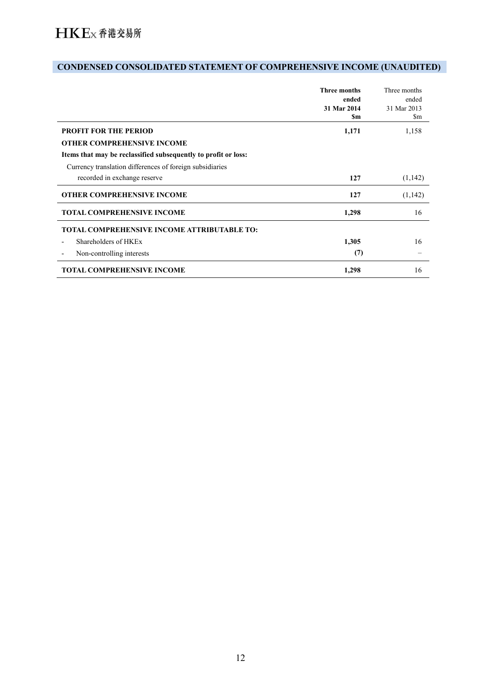# **CONDENSED CONSOLIDATED STATEMENT OF COMPREHENSIVE INCOME (UNAUDITED)**

|                                                                | <b>Three months</b><br>ended<br>31 Mar 2014<br>\$m | Three months<br>ended<br>31 Mar 2013<br>\$m |
|----------------------------------------------------------------|----------------------------------------------------|---------------------------------------------|
| <b>PROFIT FOR THE PERIOD</b>                                   | 1,171                                              | 1,158                                       |
| <b>OTHER COMPREHENSIVE INCOME</b>                              |                                                    |                                             |
| Items that may be reclassified subsequently to profit or loss: |                                                    |                                             |
| Currency translation differences of foreign subsidiaries       |                                                    |                                             |
| recorded in exchange reserve                                   | 127                                                | (1,142)                                     |
| <b>OTHER COMPREHENSIVE INCOME</b>                              | 127                                                | (1,142)                                     |
| <b>TOTAL COMPREHENSIVE INCOME</b>                              | 1,298                                              | 16                                          |
| TOTAL COMPREHENSIVE INCOME ATTRIBUTABLE TO:                    |                                                    |                                             |
| Shareholders of HKEx                                           | 1,305                                              | 16                                          |
| Non-controlling interests                                      | (7)                                                |                                             |
| <b>TOTAL COMPREHENSIVE INCOME</b>                              | 1,298                                              | 16                                          |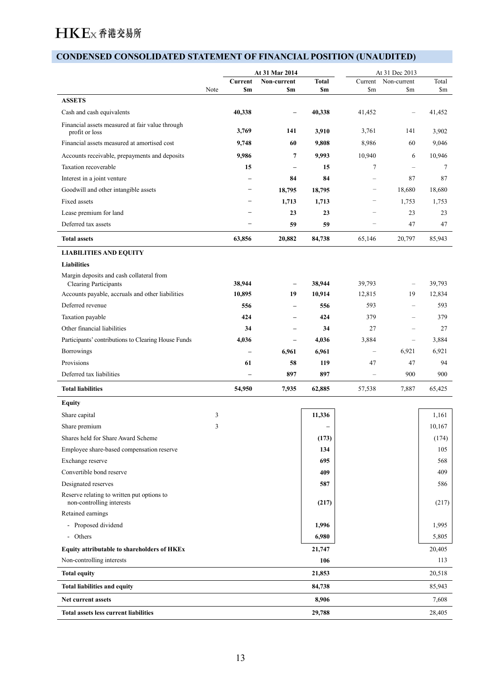## **CONDENSED CONSOLIDATED STATEMENT OF FINANCIAL POSITION (UNAUDITED)**

|                                                                          |                         |                          | At 31 Mar 2014                          |                          | At 31 Dec 2013                  |                                      |                         |
|--------------------------------------------------------------------------|-------------------------|--------------------------|-----------------------------------------|--------------------------|---------------------------------|--------------------------------------|-------------------------|
|                                                                          | Note                    | <b>Sm</b>                | <b>Current</b> Non-current<br><b>Sm</b> | <b>Total</b><br>\$m      | $\mathbf{Sm}$                   | Current Non-current<br>$\mathbf{Sm}$ | Total<br>$\mathbf{\$m}$ |
| <b>ASSETS</b>                                                            |                         |                          |                                         |                          |                                 |                                      |                         |
| Cash and cash equivalents                                                |                         | 40,338                   | $\overline{\phantom{0}}$                | 40,338                   | 41,452                          | $\overline{\phantom{m}}$             | 41,452                  |
| Financial assets measured at fair value through<br>profit or loss        |                         | 3,769                    | 141                                     | 3,910                    | 3,761                           | 141                                  | 3,902                   |
| Financial assets measured at amortised cost                              |                         | 9,748                    | 60                                      | 9,808                    | 8,986                           | 60                                   | 9,046                   |
| Accounts receivable, prepayments and deposits                            |                         | 9,986                    | $\overline{7}$                          | 9,993                    | 10,940                          | 6                                    | 10,946                  |
| Taxation recoverable                                                     |                         | 15                       | $\overline{\phantom{a}}$                | 15                       | $\overline{7}$                  | $\overline{\phantom{m}}$             | $\overline{7}$          |
| Interest in a joint venture                                              |                         | Ξ.                       | 84                                      | 84                       | $\hspace{0.1mm}-\hspace{0.1mm}$ | 87                                   | 87                      |
| Goodwill and other intangible assets                                     |                         |                          | 18,795                                  | 18,795                   | $\overline{\phantom{m}}$        | 18,680                               | 18,680                  |
| Fixed assets                                                             |                         | -                        | 1,713                                   | 1,713                    | $\hspace{0.1mm}-\hspace{0.1mm}$ | 1,753                                | 1,753                   |
| Lease premium for land                                                   |                         | $\overline{\phantom{0}}$ | 23                                      | 23                       |                                 | 23                                   | 23                      |
| Deferred tax assets                                                      |                         | -                        | 59                                      | 59                       | $\overline{\phantom{0}}$        | 47                                   | 47                      |
| <b>Total assets</b>                                                      |                         | 63,856                   | 20,882                                  | 84,738                   | 65,146                          | 20,797                               | 85,943                  |
|                                                                          |                         |                          |                                         |                          |                                 |                                      |                         |
| <b>LIABILITIES AND EQUITY</b>                                            |                         |                          |                                         |                          |                                 |                                      |                         |
| Liabilities                                                              |                         |                          |                                         |                          |                                 |                                      |                         |
| Margin deposits and cash collateral from<br><b>Clearing Participants</b> |                         | 38,944                   | $\overline{\phantom{a}}$                | 38,944                   | 39,793                          | $\overline{\phantom{m}}$             | 39,793                  |
| Accounts payable, accruals and other liabilities                         |                         | 10,895                   | 19                                      | 10,914                   | 12,815                          | 19                                   | 12,834                  |
| Deferred revenue                                                         |                         | 556                      | $\overline{\phantom{a}}$                | 556                      | 593                             | $\overline{\phantom{m}}$             | 593                     |
| Taxation payable                                                         |                         | 424                      | $\overline{\phantom{m}}$                | 424                      | 379                             | $\overline{\phantom{m}}$             | 379                     |
| Other financial liabilities                                              |                         | 34                       | $\overline{\phantom{a}}$                | 34                       | 27                              | $\overline{\phantom{m}}$             | 27                      |
| Participants' contributions to Clearing House Funds                      |                         | 4,036                    | $\overline{\phantom{m}}$                | 4,036                    | 3,884                           | $\overline{\phantom{m}}$             | 3,884                   |
| Borrowings                                                               |                         | $\overline{\phantom{0}}$ | 6,961                                   | 6,961                    | $\overline{\phantom{m}}$        | 6,921                                | 6,921                   |
| Provisions                                                               |                         | 61                       | 58                                      | 119                      | 47                              | 47                                   | 94                      |
| Deferred tax liabilities                                                 |                         | $\overline{\phantom{0}}$ | 897                                     | 897                      | $\overline{\phantom{m}}$        | 900                                  | 900                     |
|                                                                          |                         |                          |                                         |                          |                                 |                                      |                         |
| <b>Total liabilities</b>                                                 |                         | 54,950                   | 7,935                                   | 62,885                   | 57,538                          | 7,887                                | 65,425                  |
| <b>Equity</b>                                                            |                         |                          |                                         |                          |                                 |                                      |                         |
| Share capital                                                            | $\overline{\mathbf{3}}$ |                          |                                         | 11,336                   |                                 |                                      | 1,161                   |
| Share premium                                                            | 3                       |                          |                                         | $\overline{\phantom{0}}$ |                                 |                                      | 10,167                  |
| Shares held for Share Award Scheme                                       |                         |                          |                                         | (173)                    |                                 |                                      | (174)                   |
| Employee share-based compensation reserve                                |                         |                          |                                         | 134                      |                                 |                                      | 105                     |
| Exchange reserve                                                         |                         |                          |                                         | 695                      |                                 |                                      | 568                     |
| Convertible bond reserve                                                 |                         |                          |                                         | 409                      |                                 |                                      | 409                     |
| Designated reserves                                                      |                         |                          |                                         | 587                      |                                 |                                      | 586                     |
| Reserve relating to written put options to<br>non-controlling interests  |                         |                          |                                         | (217)                    |                                 |                                      | (217)                   |
| Retained earnings                                                        |                         |                          |                                         |                          |                                 |                                      |                         |
| - Proposed dividend                                                      |                         |                          |                                         | 1,996                    |                                 |                                      | 1,995                   |
| - Others                                                                 |                         |                          |                                         | 6,980                    |                                 |                                      | 5,805                   |
| Equity attributable to shareholders of HKEx                              |                         |                          |                                         | 21,747                   |                                 |                                      | 20,405                  |
| Non-controlling interests                                                |                         |                          |                                         | 106                      |                                 |                                      | 113                     |
| <b>Total equity</b>                                                      |                         |                          |                                         | 21,853                   |                                 |                                      | 20,518                  |
| Total liabilities and equity                                             |                         |                          |                                         | 84,738                   |                                 |                                      | 85,943                  |
| Net current assets                                                       |                         |                          |                                         | 8,906                    |                                 |                                      | 7,608                   |
| Total assets less current liabilities                                    |                         |                          |                                         | 29,788                   |                                 |                                      |                         |
|                                                                          |                         |                          |                                         |                          |                                 |                                      | 28,405                  |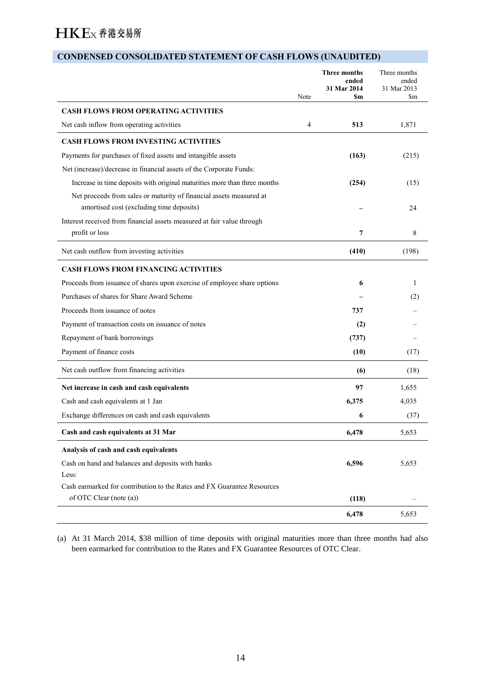# **CONDENSED CONSOLIDATED STATEMENT OF CASH FLOWS (UNAUDITED)**

|                                                                           | Note | <b>Three months</b><br>ended<br>31 Mar 2014<br><b>Sm</b> | Three months<br>ended<br>31 Mar 2013<br>\$m |
|---------------------------------------------------------------------------|------|----------------------------------------------------------|---------------------------------------------|
| <b>CASH FLOWS FROM OPERATING ACTIVITIES</b>                               |      |                                                          |                                             |
| Net cash inflow from operating activities                                 | 4    | 513                                                      | 1,871                                       |
| <b>CASH FLOWS FROM INVESTING ACTIVITIES</b>                               |      |                                                          |                                             |
| Payments for purchases of fixed assets and intangible assets              |      | (163)                                                    | (215)                                       |
| Net (increase)/decrease in financial assets of the Corporate Funds:       |      |                                                          |                                             |
| Increase in time deposits with original maturities more than three months |      | (254)                                                    | (15)                                        |
| Net proceeds from sales or maturity of financial assets measured at       |      |                                                          |                                             |
| amortised cost (excluding time deposits)                                  |      |                                                          | 24                                          |
| Interest received from financial assets measured at fair value through    |      |                                                          |                                             |
| profit or loss                                                            |      | 7                                                        | 8                                           |
| Net cash outflow from investing activities                                |      | (410)                                                    | (198)                                       |
| <b>CASH FLOWS FROM FINANCING ACTIVITIES</b>                               |      |                                                          |                                             |
| Proceeds from issuance of shares upon exercise of employee share options  |      | 6                                                        | 1                                           |
| Purchases of shares for Share Award Scheme                                |      |                                                          | (2)                                         |
| Proceeds from issuance of notes                                           |      | 737                                                      |                                             |
| Payment of transaction costs on issuance of notes                         |      | (2)                                                      |                                             |
| Repayment of bank borrowings                                              |      | (737)                                                    |                                             |
| Payment of finance costs                                                  |      | (10)                                                     | (17)                                        |
| Net cash outflow from financing activities                                |      | (6)                                                      | (18)                                        |
| Net increase in cash and cash equivalents                                 |      | 97                                                       | 1,655                                       |
| Cash and cash equivalents at 1 Jan                                        |      | 6,375                                                    | 4,035                                       |
| Exchange differences on cash and cash equivalents                         |      | 6                                                        | (37)                                        |
| Cash and cash equivalents at 31 Mar                                       |      | 6,478                                                    | 5,653                                       |
| Analysis of cash and cash equivalents                                     |      |                                                          |                                             |
| Cash on hand and balances and deposits with banks                         |      | 6,596                                                    | 5,653                                       |
| Less:                                                                     |      |                                                          |                                             |
| Cash earmarked for contribution to the Rates and FX Guarantee Resources   |      |                                                          |                                             |
| of OTC Clear (note (a))                                                   |      | (118)                                                    |                                             |
|                                                                           |      | 6,478                                                    | 5,653                                       |

(a) At 31 March 2014, \$38 million of time deposits with original maturities more than three months had also been earmarked for contribution to the Rates and FX Guarantee Resources of OTC Clear.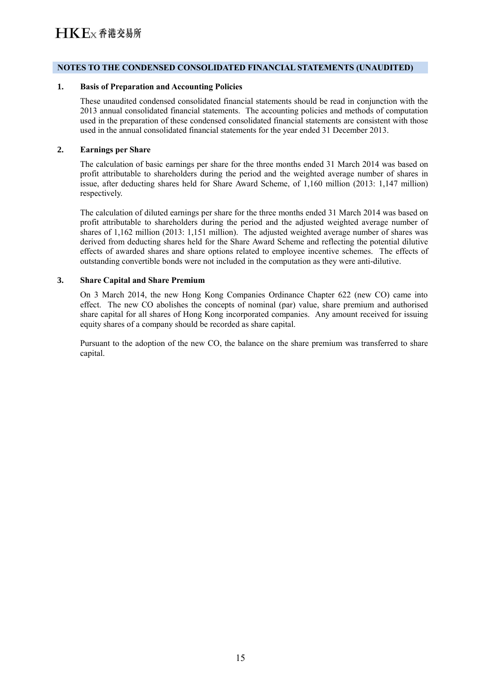#### **NOTES TO THE CONDENSED CONSOLIDATED FINANCIAL STATEMENTS (UNAUDITED)**

#### **1. Basis of Preparation and Accounting Policies**

These unaudited condensed consolidated financial statements should be read in conjunction with the 2013 annual consolidated financial statements. The accounting policies and methods of computation used in the preparation of these condensed consolidated financial statements are consistent with those used in the annual consolidated financial statements for the year ended 31 December 2013.

#### **2. Earnings per Share**

The calculation of basic earnings per share for the three months ended 31 March 2014 was based on profit attributable to shareholders during the period and the weighted average number of shares in issue, after deducting shares held for Share Award Scheme, of 1,160 million (2013: 1,147 million) respectively.

The calculation of diluted earnings per share for the three months ended 31 March 2014 was based on profit attributable to shareholders during the period and the adjusted weighted average number of shares of 1,162 million (2013: 1,151 million). The adjusted weighted average number of shares was derived from deducting shares held for the Share Award Scheme and reflecting the potential dilutive effects of awarded shares and share options related to employee incentive schemes. The effects of outstanding convertible bonds were not included in the computation as they were anti-dilutive.

#### **3. Share Capital and Share Premium**

On 3 March 2014, the new Hong Kong Companies Ordinance Chapter 622 (new CO) came into effect. The new CO abolishes the concepts of nominal (par) value, share premium and authorised share capital for all shares of Hong Kong incorporated companies. Any amount received for issuing equity shares of a company should be recorded as share capital.

Pursuant to the adoption of the new CO, the balance on the share premium was transferred to share capital.